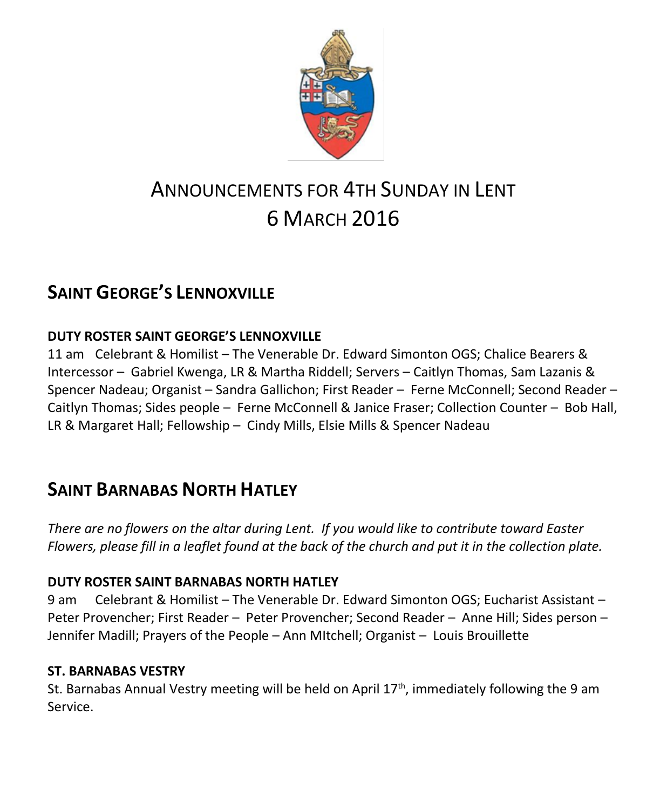

# ANNOUNCEMENTS FOR 4TH SUNDAY IN I FNT 6 MARCH 2016

# **SAINT GEORGE'S LENNOXVILLE**

#### **DUTY ROSTER SAINT GEORGE'S LENNOXVILLE**

11 am Celebrant & Homilist – The Venerable Dr. Edward Simonton OGS; Chalice Bearers & Intercessor – Gabriel Kwenga, LR & Martha Riddell; Servers – Caitlyn Thomas, Sam Lazanis & Spencer Nadeau; Organist – Sandra Gallichon; First Reader – Ferne McConnell; Second Reader – Caitlyn Thomas; Sides people – Ferne McConnell & Janice Fraser; Collection Counter – Bob Hall, LR & Margaret Hall; Fellowship – Cindy Mills, Elsie Mills & Spencer Nadeau

# **SAINT BARNABAS NORTH HATLEY**

*There are no flowers on the altar during Lent. If you would like to contribute toward Easter Flowers, please fill in a leaflet found at the back of the church and put it in the collection plate.*

#### **DUTY ROSTER SAINT BARNABAS NORTH HATLEY**

9 am Celebrant & Homilist – The Venerable Dr. Edward Simonton OGS; Eucharist Assistant – Peter Provencher; First Reader – Peter Provencher; Second Reader – Anne Hill; Sides person – Jennifer Madill; Prayers of the People – Ann MItchell; Organist – Louis Brouillette

#### **ST. BARNABAS VESTRY**

St. Barnabas Annual Vestry meeting will be held on April  $17<sup>th</sup>$ , immediately following the 9 am Service.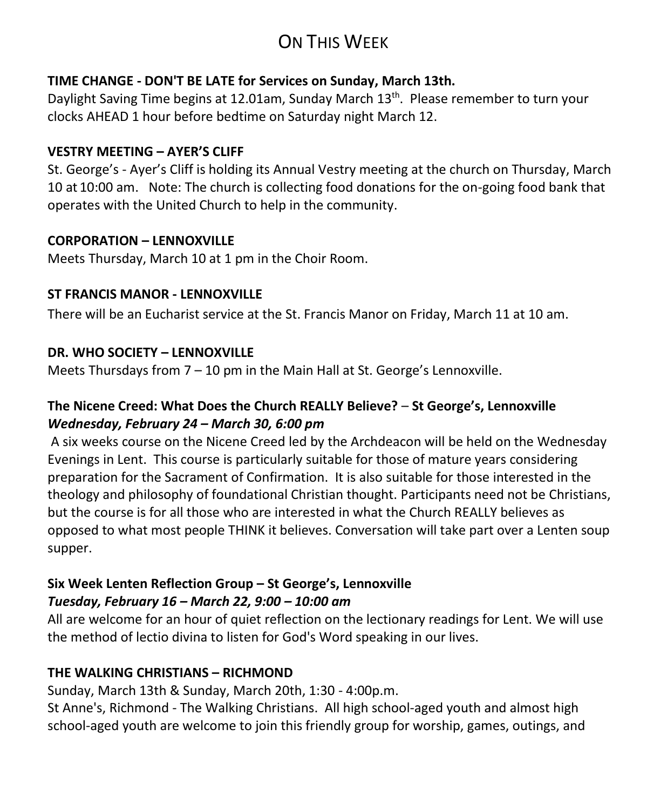# ON THIS WEEK

#### **TIME CHANGE - DON'T BE LATE for Services on Sunday, March 13th.**

Daylight Saving Time begins at 12.01am, Sunday March 13<sup>th</sup>. Please remember to turn your clocks AHEAD 1 hour before bedtime on Saturday night March 12.

#### **VESTRY MEETING – AYER'S CLIFF**

St. George's - Ayer's Cliff is holding its Annual Vestry meeting at the church on Thursday, March 10 at 10:00 am. Note: The church is collecting food donations for the on-going food bank that operates with the United Church to help in the community.

#### **CORPORATION – LENNOXVILLE**

Meets Thursday, March 10 at 1 pm in the Choir Room.

#### **ST FRANCIS MANOR - LENNOXVILLE**

There will be an Eucharist service at the St. Francis Manor on Friday, March 11 at 10 am.

#### **DR. WHO SOCIETY – LENNOXVILLE**

Meets Thursdays from  $7 - 10$  pm in the Main Hall at St. George's Lennoxville.

#### **The Nicene Creed: What Does the Church REALLY Believe?** – **St George's, Lennoxville** *Wednesday, February 24 – March 30, 6:00 pm*

A six weeks course on the Nicene Creed led by the Archdeacon will be held on the Wednesday Evenings in Lent. This course is particularly suitable for those of mature years considering preparation for the Sacrament of Confirmation. It is also suitable for those interested in the theology and philosophy of foundational Christian thought. Participants need not be Christians, but the course is for all those who are interested in what the Church REALLY believes as opposed to what most people THINK it believes. Conversation will take part over a Lenten soup supper.

#### **Six Week Lenten Reflection Group – St George's, Lennoxville**  *Tuesday, February 16 – March 22, 9:00 – 10:00 am*

All are welcome for an hour of quiet reflection on the lectionary readings for Lent. We will use the method of lectio divina to listen for God's Word speaking in our lives.

#### **THE WALKING CHRISTIANS – RICHMOND**

Sunday, March 13th & Sunday, March 20th, 1:30 - 4:00p.m.

St Anne's, Richmond - The Walking Christians. All high school-aged youth and almost high school-aged youth are welcome to join this friendly group for worship, games, outings, and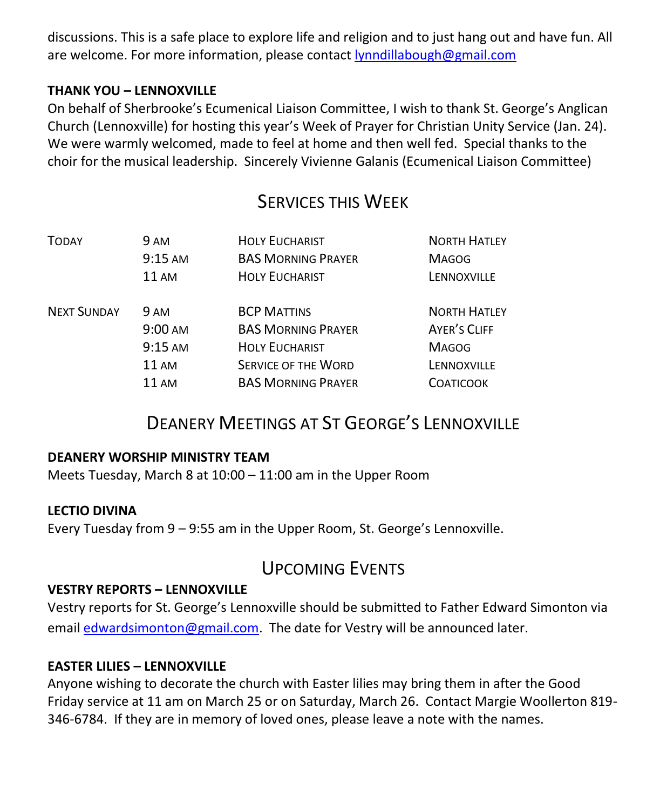discussions. This is a safe place to explore life and religion and to just hang out and have fun. All are welcome. For more information, please contact [lynndillabough@gmail.com](https://webmail.ubishops.ca/owa/redir.aspx?SURL=R7sDSY81pcg4eLgNtaLLTtBJ0s-5aG3PgK6oC85pAEWxyR2cckPTCG0AYQBpAGwAdABvADoAbAB5AG4AbgBkAGkAbABsAGEAYgBvAHUAZwBoAEAAZwBtAGEAaQBsAC4AYwBvAG0A&URL=mailto%3alynndillabough%40gmail.com)

#### **THANK YOU – LENNOXVILLE**

On behalf of Sherbrooke's Ecumenical Liaison Committee, I wish to thank St. George's Anglican Church (Lennoxville) for hosting this year's Week of Prayer for Christian Unity Service (Jan. 24). We were warmly welcomed, made to feel at home and then well fed. Special thanks to the choir for the musical leadership. Sincerely Vivienne Galanis (Ecumenical Liaison Committee)

### SERVICES THIS WEEK

| <b>TODAY</b>       | <b>9 AM</b>       | <b>HOLY EUCHARIST</b>      | <b>NORTH HATLEY</b> |
|--------------------|-------------------|----------------------------|---------------------|
|                    | $9:15 \text{ AM}$ | <b>BAS MORNING PRAYER</b>  | <b>MAGOG</b>        |
|                    | $11 \text{ AM}$   | <b>HOLY EUCHARIST</b>      | LENNOXVILLE         |
| <b>NEXT SUNDAY</b> | <b>9 AM</b>       | <b>BCP MATTINS</b>         | <b>NORTH HATLEY</b> |
|                    | $9:00 \text{ AM}$ | <b>BAS MORNING PRAYER</b>  | <b>AYER'S CLIFF</b> |
|                    | $9:15 \text{ AM}$ | <b>HOLY EUCHARIST</b>      | <b>MAGOG</b>        |
|                    | 11AM              | <b>SERVICE OF THE WORD</b> | LENNOXVILLE         |
|                    | 11 AM             | <b>BAS MORNING PRAYER</b>  | <b>COATICOOK</b>    |

### DEANERY MEETINGS AT ST GEORGE'S LENNOXVILLE

#### **DEANERY WORSHIP MINISTRY TEAM**

Meets Tuesday, March 8 at 10:00 – 11:00 am in the Upper Room

#### **LECTIO DIVINA**

Every Tuesday from 9 – 9:55 am in the Upper Room, St. George's Lennoxville.

### UPCOMING EVENTS

#### **VESTRY REPORTS – LENNOXVILLE**

Vestry reports for St. George's Lennoxville should be submitted to Father Edward Simonton via email [edwardsimonton@gmail.com.](mailto:edwardsimonton@gmail.com) The date for Vestry will be announced later.

#### **EASTER LILIES – LENNOXVILLE**

Anyone wishing to decorate the church with Easter lilies may bring them in after the Good Friday service at 11 am on March 25 or on Saturday, March 26. Contact Margie Woollerton 819- 346-6784. If they are in memory of loved ones, please leave a note with the names.